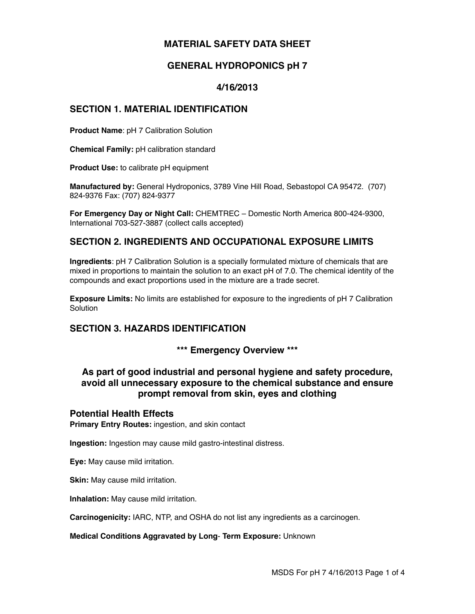# **MATERIAL SAFETY DATA SHEET**

# **GENERAL HYDROPONICS pH 7**

### **4/16/2013**

#### **SECTION 1. MATERIAL IDENTIFICATION**

**Product Name**: pH 7 Calibration Solution

**Chemical Family:** pH calibration standard

**Product Use:** to calibrate pH equipment

**Manufactured by:** General Hydroponics, 3789 Vine Hill Road, Sebastopol CA 95472. (707) 824-9376 Fax: (707) 824-9377

**For Emergency Day or Night Call:** CHEMTREC – Domestic North America 800-424-9300, International 703-527-3887 (collect calls accepted)

### **SECTION 2. INGREDIENTS AND OCCUPATIONAL EXPOSURE LIMITS**

**Ingredients**: pH 7 Calibration Solution is a specially formulated mixture of chemicals that are mixed in proportions to maintain the solution to an exact pH of 7.0. The chemical identity of the compounds and exact proportions used in the mixture are a trade secret.

**Exposure Limits:** No limits are established for exposure to the ingredients of pH 7 Calibration Solution

# **SECTION 3. HAZARDS IDENTIFICATION**

**\*\*\* Emergency Overview \*\*\***

# **As part of good industrial and personal hygiene and safety procedure, avoid all unnecessary exposure to the chemical substance and ensure prompt removal from skin, eyes and clothing**

#### **Potential Health Effects**

**Primary Entry Routes:** ingestion, and skin contact

**Ingestion:** Ingestion may cause mild gastro-intestinal distress.

**Eye:** May cause mild irritation.

**Skin:** May cause mild irritation.

**Inhalation:** May cause mild irritation.

**Carcinogenicity:** IARC, NTP, and OSHA do not list any ingredients as a carcinogen.

**Medical Conditions Aggravated by Long**- **Term Exposure:** Unknown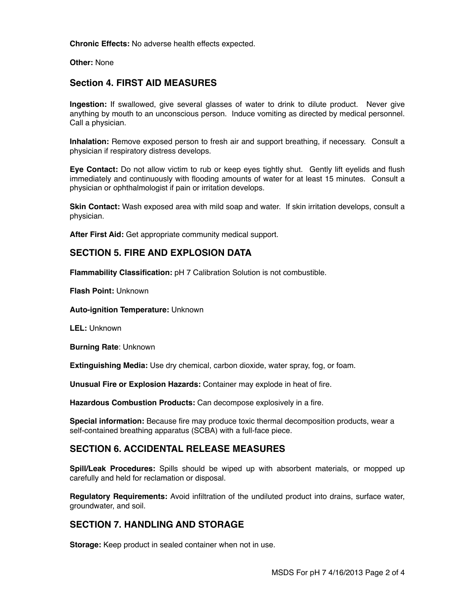**Chronic Effects:** No adverse health effects expected.

**Other:** None

#### **Section 4. FIRST AID MEASURES**

**Ingestion:** If swallowed, give several glasses of water to drink to dilute product. Never give anything by mouth to an unconscious person.Induce vomiting as directed by medical personnel. Call a physician.

**Inhalation:** Remove exposed person to fresh air and support breathing, if necessary. Consult a physician if respiratory distress develops.

**Eye Contact:** Do not allow victim to rub or keep eyes tightly shut. Gently lift eyelids and flush immediately and continuously with flooding amounts of water for at least 15 minutes. Consult a physician or ophthalmologist if pain or irritation develops.

**Skin Contact:** Wash exposed area with mild soap and water. If skin irritation develops, consult a physician.

**After First Aid:** Get appropriate community medical support.

#### **SECTION 5. FIRE AND EXPLOSION DATA**

**Flammability Classification:** pH 7 Calibration Solution is not combustible.

**Flash Point:** Unknown

**Auto-ignition Temperature:** Unknown

**LEL:** Unknown

**Burning Rate**: Unknown

**Extinguishing Media:** Use dry chemical, carbon dioxide, water spray, fog, or foam.

**Unusual Fire or Explosion Hazards:** Container may explode in heat of fire.

**Hazardous Combustion Products:** Can decompose explosively in a fire.

**Special information:** Because fire may produce toxic thermal decomposition products, wear a self-contained breathing apparatus (SCBA) with a full-face piece.

#### **SECTION 6. ACCIDENTAL RELEASE MEASURES**

**Spill/Leak Procedures:** Spills should be wiped up with absorbent materials, or mopped up carefully and held for reclamation or disposal.

**Regulatory Requirements:** Avoid infiltration of the undiluted product into drains, surface water, groundwater, and soil.

#### **SECTION 7. HANDLING AND STORAGE**

**Storage:** Keep product in sealed container when not in use.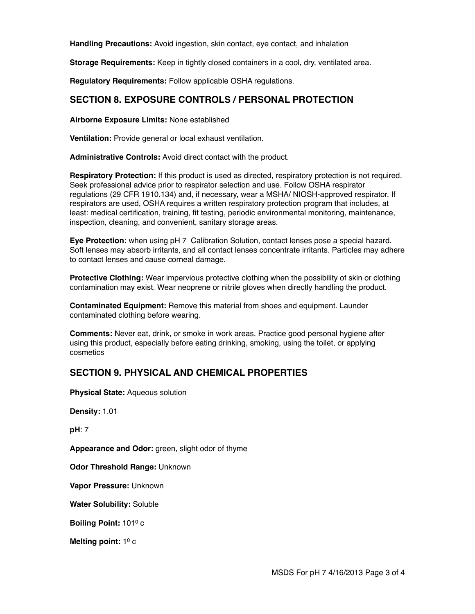**Handling Precautions:** Avoid ingestion, skin contact, eye contact, and inhalation

**Storage Requirements:** Keep in tightly closed containers in a cool, dry, ventilated area.

**Regulatory Requirements:** Follow applicable OSHA regulations.

### **SECTION 8. EXPOSURE CONTROLS / PERSONAL PROTECTION**

**Airborne Exposure Limits:** None established

**Ventilation:** Provide general or local exhaust ventilation.

**Administrative Controls:** Avoid direct contact with the product.

**Respiratory Protection:** If this product is used as directed, respiratory protection is not required. Seek professional advice prior to respirator selection and use. Follow OSHA respirator regulations (29 CFR 1910.134) and, if necessary, wear a MSHA/ NIOSH-approved respirator. If respirators are used, OSHA requires a written respiratory protection program that includes, at least: medical certification, training, fit testing, periodic environmental monitoring, maintenance, inspection, cleaning, and convenient, sanitary storage areas.

**Eye Protection:** when using pH 7 Calibration Solution, contact lenses pose a special hazard. Soft lenses may absorb irritants, and all contact lenses concentrate irritants. Particles may adhere to contact lenses and cause corneal damage.

**Protective Clothing:** Wear impervious protective clothing when the possibility of skin or clothing contamination may exist. Wear neoprene or nitrile gloves when directly handling the product.

**Contaminated Equipment:** Remove this material from shoes and equipment. Launder contaminated clothing before wearing.

**Comments:** Never eat, drink, or smoke in work areas. Practice good personal hygiene after using this product, especially before eating drinking, smoking, using the toilet, or applying cosmetics

# **SECTION 9. PHYSICAL AND CHEMICAL PROPERTIES**

**Physical State:** Aqueous solution

**Density:** 1.01

**pH**: 7

**Appearance and Odor:** green, slight odor of thyme

**Odor Threshold Range:** Unknown

**Vapor Pressure:** Unknown

**Water Solubility:** Soluble

**Boiling Point:** 1010 c

Melting point: 1<sup>0</sup> c